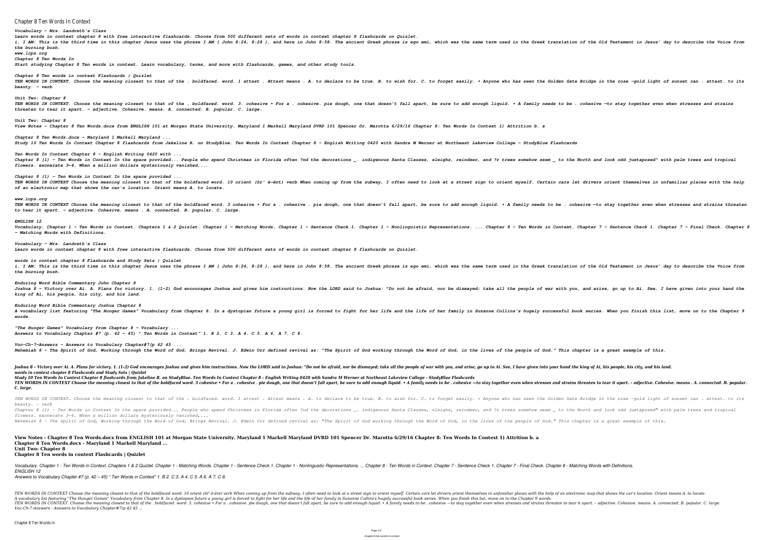Chapter 8 Ten Words In Context *Vocabulary - Mrs. Landreth's Class Learn words in context chapter 8 with free interactive flashcards. Choose from 500 different sets of words in context chapter 8 flashcards on Quizlet.* i. I AM: This is the third time in this chapter Jesus uses the phrase I AM ( John 8:24, 8:28 ), and here in John 8:58. The ancient Greek translation of the Old Testament in Jesus' day to describe the Voice from *the burning bush. www.lcps.org Chapter 8 Ten Words In Start studying Chapter 8 Ten words in context. Learn vocabulary, terms, and more with flashcards, games, and other study tools. Chapter 8 Ten words in context Flashcards | Quizlet* TEN WORDS IN CONTEXT. Choose the meaning closest to that of the . boldfaced. word. 1 attest . Attest means . A. to declare to be true. B. to wish for. C. to forget easily. . Anyone who has seen the Golden Gate Bridge in th *beauty. – verb Unit Two: Chapter 8* TEN WORDS IN CONTEXT. Choose the meaning closest to that of the . boldfaced. word. 3. cohesive . Bohesive. pie dough, one that doesn't fall apart, be sure to add enough liquid. . A family needs to be . cohesive -to stay to *threaten to tear it apart. – adjective. Cohesive. means. A. connected. B. popular. C. large. Unit Two: Chapter 8 View Notes - Chapter 8 Ten Words.docx from ENGLISH 101 at Morgan State University. Maryland 1 Markell Maryland DVRD 101 Spencer Dr. Marotta 6/29/16 Chapter 8: Ten Words In Context 1) Attrition b. a Chapter 8 Ten Words.docx - Maryland 1 Markell Maryland ... Study 10 Ten Words In Context Chapter 8 flashcards from Jakeline R. on StudyBlue. Ten Words In Context Chapter 8 - English Writing 0420 with Sandra M Werner at Northeast Lakeview College - StudyBlue Flashcards Ten Words In Context Chapter 8 - English Writing 0420 with ...* Chapter 8 (1) - Ten Words in Context In the space provided... People who spend Christmas in Florida often ?nd the decorations \_. indigenous Santa Clauses, sleighs, reindeer, and ?r trees somehow seem \_ to the North and loo *flowers. exonerate 3—4. When a million dollars mysteriously vanished,... Chapter 8 (1) - Ten Words in Context In the space provided ...* TEN WORDS IN CONTEXT Choose the meaning closest to that of the boldfaced word. 10 orient (ôr' ë-ënt) verb When coming up from the subway, I often need to look at a street sign to orient myself. Certain cars let drivers ori *of an electronic map that shows the car's location. Orient means A. to locate. www.lcps.org* TEN WORDS IN CONTEXT Choose the meaning closest to that of the boldfaced word. 3 cohesive • For a . cohesive . pie dough, one that doesn't fall apart, be sure to add enough liquid. • A family needs to be . cohesive -to sta *to tear it apart. – adjective. Cohesive. means . A. connected. B. popular. C. large. ENGLISH 12* Vocabulary. Chapter 1 - Ten Words in Context. Chapters 1 & 2 Quizlet. Chapter 1 - Matching Words. Chapter 1 - Sentence Check 1. Chapter 2 - Sentence Check 1. Chapter 7 - Final Check. Chapter 8 - Ten Words. Chapter 1 - Nonl *- Matching Words with Definitions. Vocabulary - Mrs. Landreth's Class Learn words in context chapter 8 with free interactive flashcards. Choose from 500 different sets of words in context chapter 8 flashcards on Quizlet. words in context chapter 8 Flashcards and Study Sets | Quizlet* i. I AM: This is the third time in this chapter Jesus uses the phrase I AM ( John 8:24, 8:28 ), and here in John 8:58. The ancient Greek translation of the Old Testament in Jesus' day to describe the Voice from *the burning bush. Enduring Word Bible Commentary John Chapter 8* Joshua 8 - Victory over Ai. A. Plans for victory. 1. (1-2) God encourages Joshua and gives him instructions. Now the LORD said to Joshua: "Do not be afraid, nor be dismayed; take all the people of war with you, and arise, *king of Ai, his people, his city, and his land. Enduring Word Bible Commentary Joshua Chapter 8* A vocabulary list featuring "The Hunger Games" Vocabulary from Chapter 8. In a dystopian future a young girl is forced to fight for her life and the life of her family in Suzanne Collins's hugely successful book series. Wh *words. "The Hunger Games" Vocabulary from Chapter 8 - Vocabulary ... Answers to Vocabulary Chapter #7 (p. 42 – 45) " Ten Words in Context" 1. B 2. C 3. A 4. C 5. A 6. A 7. C 8. Voc-Ch-7-Answers - Answers to Vocabulary Chapter#7(p 42 45 ...* Nehemiah 8 - The Spirit of God, Working through the Word of God, Brings Revival. J. Edwin Orr defined revival as: "The Spirit of God, in the lives of the people of God." This chapter is a great example of this. Joshua 8 - Victory over Ai. A. Plans for victory. 1. (1-2) God encourages Joshua and gives him instructions. Now the LORD said to Joshua: "Do not be afraid, nor be dismayed; take all the people of war with you, and arise, *words in context chapter 8 Flashcards and Study Sets | Quizlet Study 10 Ten Words In Context Chapter 8 flashcards from Jakeline R. on StudyBlue. Ten Words In Context Chapter 8 - English Writing 0420 with Sandra M Werner at Northeast Lakeview College - StudyBlue Flashcards* TEN WORDS IN CONTEXT Choose the meaning closest to that of the boldfaced word. 3 cohesive • For a . cohesive • For a . cohesive - to stay together even when stresses and strains threaten to tear it apart. - adjective. Cohe *C. large.* TEN WORDS IN CONTEXT. Choose the meaning closest to that of the . boldfaced. word. 1 attest . Attest means . A. to declare to be true. B. to wish for. C. to forget easily. . Anyone who has seen the Golden Gate Bridge in th *beauty. – verb* Chapter 8 (1) - Ten Words in Context In the space provided... People who spend Christmas in Florida often ?nd the decorations \_. indigenous Santa Clauses, sleighs, reindeer, and ?r trees somehow seem \_ to the North and loo *flowers. exonerate 3—4. When a million dollars mysteriously vanished,...* Nehemiah 8 - The Spirit of God, Working through the Word of God, Brings Revival. J. Edwin Orr defined revival as: "The Spirit of God, in the lives of the people of God." This chapter is a great example of this. **View Notes - Chapter 8 Ten Words.docx from ENGLISH 101 at Morgan State University. Maryland 1 Markell Maryland DVRD 101 Spencer Dr. Marotta 6/29/16 Chapter 8: Ten Words In Context 1) Attrition b. a Chapter 8 Ten Words.docx - Maryland 1 Markell Maryland ... Unit Two: Chapter 8 Chapter 8 Ten words in context Flashcards | Quizlet**

Vocabulary. Chapter 1 - Ten Words in Context. Chapters 1 & 2 Quizlet. Chapter 1 - Matching Words. Chapter 1 - Sentence Check 1. Chapter 8 - Ten Words in Context. Chapter 7 - Sentence Check 1. Chapter 7 - Sentence Check 1. *ENGLISH 12*

TEN WORDS IN CONTEXT Choose the meaning closest to that of the boldfaced word. 10 orient (ôr' ë-ënt) verb When coming up from the subway, I often need to look at a street sign to orient themselves in unfamiliar places with A vocabulary list featuring "The Hunger Games" Vocabulary from Chapter 8. In a dystopian future a young girl is forced to fight for her life of her family in Suzanne Collins's hugely successful book series. When you finish TEN WORDS IN CONTEXT. Choose the meaning closest to that of the . boldfaced. word. 3. cohesive • For a . cohesive • For a . cohesive, pie dough, one that doesn't fall apart, be sure to add enough liquid. • A family needs t *Voc-Ch-7-Answers - Answers to Vocabulary Chapter#7(p 42 45 ...*

*Answers to Vocabulary Chapter #7 (p. 42 – 45) " Ten Words in Context" 1. B 2. C 3. A 4. C 5. A 6. A 7. C 8.*